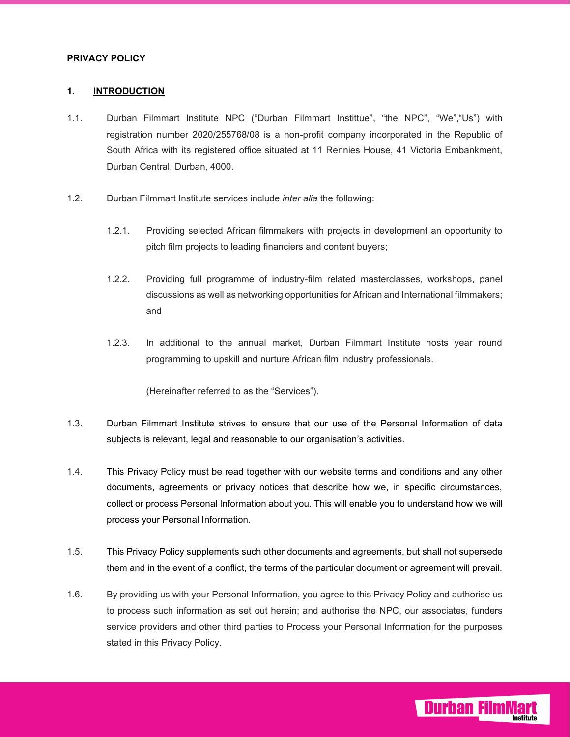#### **PRIVACY POLICY**

#### **1. INTRODUCTION**

- 1.1. Durban Filmmart Institute NPC ("Durban Filmmart Instittue", "the NPC", "We","Us") with registration number 2020/255768/08 is a non-profit company incorporated in the Republic of South Africa with its registered office situated at 11 Rennies House, 41 Victoria Embankment, Durban Central, Durban, 4000.
- 1.2. Durban Filmmart Institute services include *inter alia* the following:
	- 1.2.1. Providing selected African filmmakers with projects in development an opportunity to pitch film projects to leading financiers and content buyers;
	- 1.2.2. Providing full programme of industry-film related masterclasses, workshops, panel discussions as well as networking opportunities for African and International filmmakers; and
	- 1.2.3. In additional to the annual market, Durban Filmmart Institute hosts year round programming to upskill and nurture African film industry professionals.

(Hereinafter referred to as the "Services").

- 1.3. Durban Filmmart Institute strives to ensure that our use of the Personal Information of data subjects is relevant, legal and reasonable to our organisation's activities.
- 1.4. This Privacy Policy must be read together with our website terms and conditions and any other documents, agreements or privacy notices that describe how we, in specific circumstances, collect or process Personal Information about you. This will enable you to understand how we will process your Personal Information.
- 1.5. This Privacy Policy supplements such other documents and agreements, but shall not supersede them and in the event of a conflict, the terms of the particular document or agreement will prevail.
- 1.6. By providing us with your Personal Information, you agree to this Privacy Policy and authorise us to process such information as set out herein; and authorise the NPC, our associates, funders service providers and other third parties to Process your Personal Information for the purposes stated in this Privacy Policy.

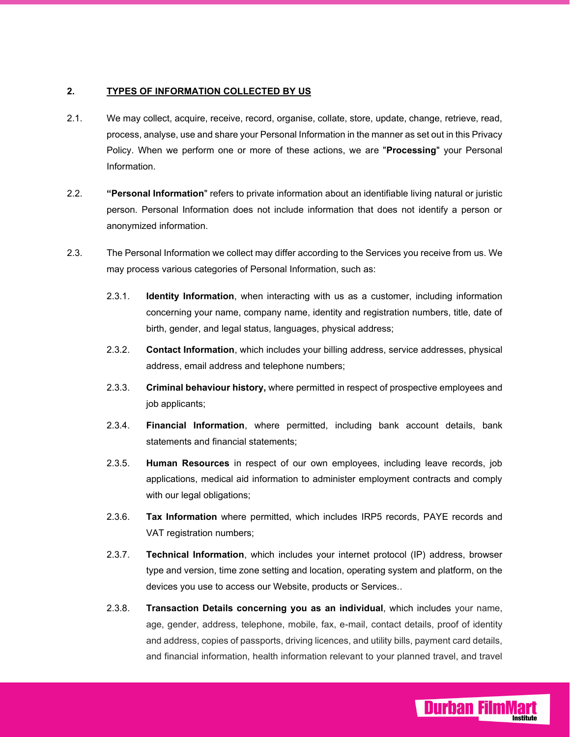## **2. TYPES OF INFORMATION COLLECTED BY US**

- 2.1. We may collect, acquire, receive, record, organise, collate, store, update, change, retrieve, read, process, analyse, use and share your Personal Information in the manner as set out in this Privacy Policy. When we perform one or more of these actions, we are "**Processing**" your Personal Information.
- 2.2. **"Personal Information**" refers to private information about an identifiable living natural or juristic person. Personal Information does not include information that does not identify a person or anonymized information.
- 2.3. The Personal Information we collect may differ according to the Services you receive from us. We may process various categories of Personal Information, such as:
	- 2.3.1. **Identity Information**, when interacting with us as a customer, including information concerning your name, company name, identity and registration numbers, title, date of birth, gender, and legal status, languages, physical address;
	- 2.3.2. **Contact Information**, which includes your billing address, service addresses, physical address, email address and telephone numbers;
	- 2.3.3. **Criminal behaviour history,** where permitted in respect of prospective employees and job applicants;
	- 2.3.4. **Financial Information**, where permitted, including bank account details, bank statements and financial statements;
	- 2.3.5. **Human Resources** in respect of our own employees, including leave records, job applications, medical aid information to administer employment contracts and comply with our legal obligations;
	- 2.3.6. **Tax Information** where permitted, which includes IRP5 records, PAYE records and VAT registration numbers;
	- 2.3.7. **Technical Information**, which includes your internet protocol (IP) address, browser type and version, time zone setting and location, operating system and platform, on the devices you use to access our Website, products or Services..
	- 2.3.8. **Transaction Details concerning you as an individual**, which includes your name, age, gender, address, telephone, mobile, fax, e-mail, contact details, proof of identity and address, copies of passports, driving licences, and utility bills, payment card details, and financial information, health information relevant to your planned travel, and travel

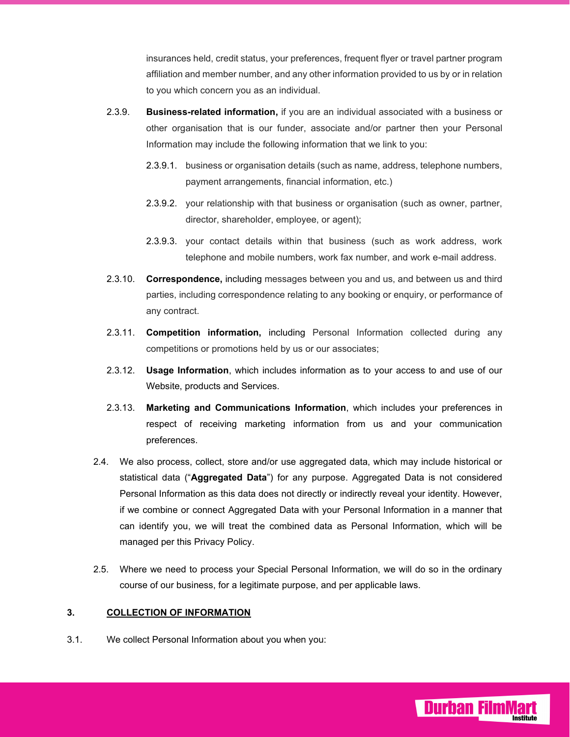insurances held, credit status, your preferences, frequent flyer or travel partner program affiliation and member number, and any other information provided to us by or in relation to you which concern you as an individual.

- 2.3.9. **Business-related information,** if you are an individual associated with a business or other organisation that is our funder, associate and/or partner then your Personal Information may include the following information that we link to you:
	- 2.3.9.1. business or organisation details (such as name, address, telephone numbers, payment arrangements, financial information, etc.)
	- 2.3.9.2. your relationship with that business or organisation (such as owner, partner, director, shareholder, employee, or agent);
	- 2.3.9.3. your contact details within that business (such as work address, work telephone and mobile numbers, work fax number, and work e-mail address.
- 2.3.10. **Correspondence,** including messages between you and us, and between us and third parties, including correspondence relating to any booking or enquiry, or performance of any contract.
- 2.3.11. **Competition information,** including Personal Information collected during any competitions or promotions held by us or our associates;
- 2.3.12. **Usage Information**, which includes information as to your access to and use of our Website, products and Services.
- 2.3.13. **Marketing and Communications Information**, which includes your preferences in respect of receiving marketing information from us and your communication preferences.
- 2.4. We also process, collect, store and/or use aggregated data, which may include historical or statistical data ("**Aggregated Data**") for any purpose. Aggregated Data is not considered Personal Information as this data does not directly or indirectly reveal your identity. However, if we combine or connect Aggregated Data with your Personal Information in a manner that can identify you, we will treat the combined data as Personal Information, which will be managed per this Privacy Policy.
- 2.5. Where we need to process your Special Personal Information, we will do so in the ordinary course of our business, for a legitimate purpose, and per applicable laws.

**Durban Filml** 

## **3. COLLECTION OF INFORMATION**

3.1. We collect Personal Information about you when you: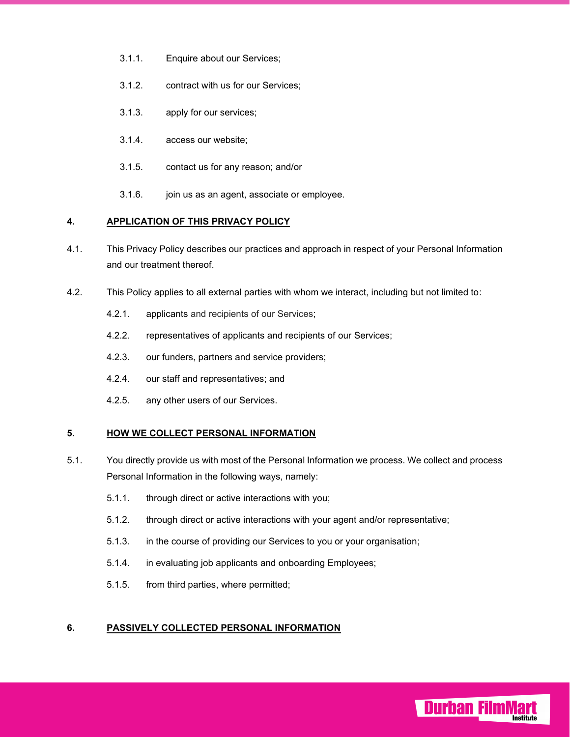- 3.1.1. Enquire about our Services;
- 3.1.2. contract with us for our Services;
- 3.1.3. apply for our services;
- 3.1.4. access our website;
- 3.1.5. contact us for any reason; and/or
- 3.1.6. join us as an agent, associate or employee.

#### **4. APPLICATION OF THIS PRIVACY POLICY**

- 4.1. This Privacy Policy describes our practices and approach in respect of your Personal Information and our treatment thereof.
- 4.2. This Policy applies to all external parties with whom we interact, including but not limited to:
	- 4.2.1. applicants and recipients of our Services;
	- 4.2.2. representatives of applicants and recipients of our Services;
	- 4.2.3. our funders, partners and service providers;
	- 4.2.4. our staff and representatives; and
	- 4.2.5. any other users of our Services.

## **5. HOW WE COLLECT PERSONAL INFORMATION**

- 5.1. You directly provide us with most of the Personal Information we process. We collect and process Personal Information in the following ways, namely:
	- 5.1.1. through direct or active interactions with you;
	- 5.1.2. through direct or active interactions with your agent and/or representative;

**Durban Film** 

- 5.1.3. in the course of providing our Services to you or your organisation;
- 5.1.4. in evaluating job applicants and onboarding Employees;
- 5.1.5. from third parties, where permitted;

## **6. PASSIVELY COLLECTED PERSONAL INFORMATION**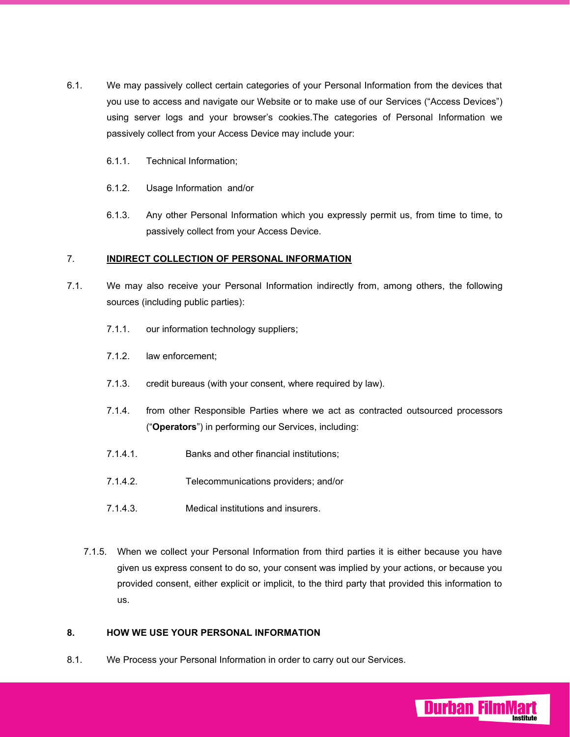- 6.1. We may passively collect certain categories of your Personal Information from the devices that you use to access and navigate our Website or to make use of our Services ("Access Devices") using server logs and your browser's cookies.The categories of Personal Information we passively collect from your Access Device may include your:
	- 6.1.1. Technical Information;
	- 6.1.2. Usage Information and/or
	- 6.1.3. Any other Personal Information which you expressly permit us, from time to time, to passively collect from your Access Device.

#### 7. **INDIRECT COLLECTION OF PERSONAL INFORMATION**

- 7.1. We may also receive your Personal Information indirectly from, among others, the following sources (including public parties):
	- 7.1.1. our information technology suppliers;
	- 7.1.2. law enforcement;
	- 7.1.3. credit bureaus (with your consent, where required by law).
	- 7.1.4. from other Responsible Parties where we act as contracted outsourced processors ("**Operators**") in performing our Services, including:
	- 7.1.4.1. Banks and other financial institutions;
	- 7.1.4.2. Telecommunications providers; and/or
	- 7.1.4.3. Medical institutions and insurers.
	- 7.1.5. When we collect your Personal Information from third parties it is either because you have given us express consent to do so, your consent was implied by your actions, or because you provided consent, either explicit or implicit, to the third party that provided this information to us.

**Durban Filml** 

# **8. HOW WE USE YOUR PERSONAL INFORMATION**

8.1. We Process your Personal Information in order to carry out our Services.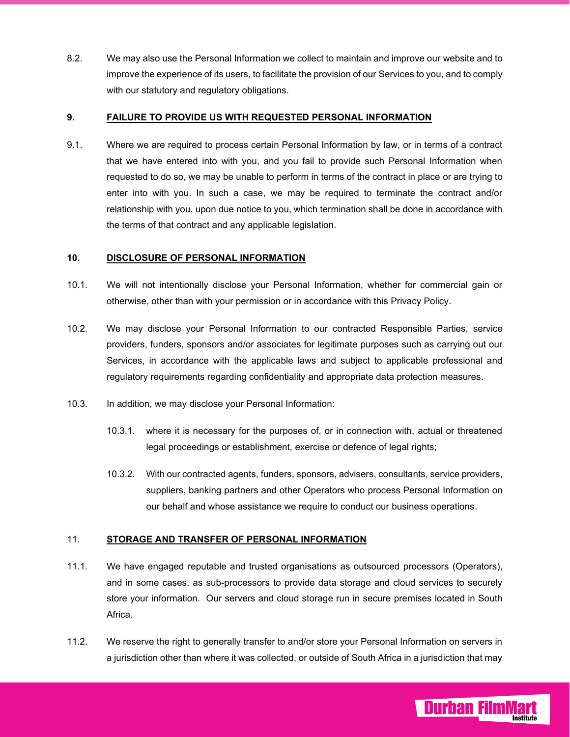8.2. We may also use the Personal Information we collect to maintain and improve our website and to improve the experience of its users, to facilitate the provision of our Services to you, and to comply with our statutory and regulatory obligations.

#### **9. FAILURE TO PROVIDE US WITH REQUESTED PERSONAL INFORMATION**

9.1. Where we are required to process certain Personal Information by law, or in terms of a contract that we have entered into with you, and you fail to provide such Personal Information when requested to do so, we may be unable to perform in terms of the contract in place or are trying to enter into with you. In such a case, we may be required to terminate the contract and/or relationship with you, upon due notice to you, which termination shall be done in accordance with the terms of that contract and any applicable legislation.

#### **10. DISCLOSURE OF PERSONAL INFORMATION**

- 10.1. We will not intentionally disclose your Personal Information, whether for commercial gain or otherwise, other than with your permission or in accordance with this Privacy Policy.
- 10.2. We may disclose your Personal Information to our contracted Responsible Parties, service providers, funders, sponsors and/or associates for legitimate purposes such as carrying out our Services, in accordance with the applicable laws and subject to applicable professional and regulatory requirements regarding confidentiality and appropriate data protection measures.
- 10.3. In addition, we may disclose your Personal Information:
	- 10.3.1. where it is necessary for the purposes of, or in connection with, actual or threatened legal proceedings or establishment, exercise or defence of legal rights;
	- 10.3.2. With our contracted agents, funders, sponsors, advisers, consultants, service providers, suppliers, banking partners and other Operators who process Personal Information on our behalf and whose assistance we require to conduct our business operations.

## 11. **STORAGE AND TRANSFER OF PERSONAL INFORMATION**

- 11.1. We have engaged reputable and trusted organisations as outsourced processors (Operators), and in some cases, as sub-processors to provide data storage and cloud services to securely store your information. Our servers and cloud storage run in secure premises located in South Africa.
- 11.2. We reserve the right to generally transfer to and/or store your Personal Information on servers in a jurisdiction other than where it was collected, or outside of South Africa in a jurisdiction that may

**Durban Filml**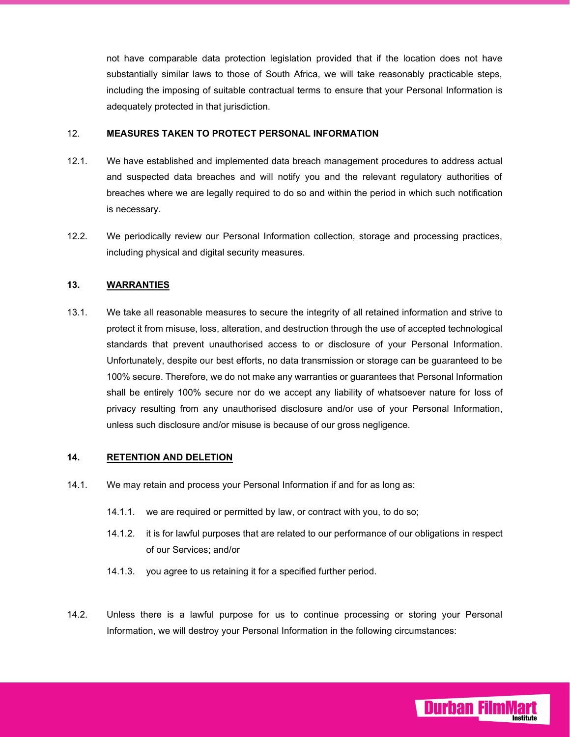not have comparable data protection legislation provided that if the location does not have substantially similar laws to those of South Africa, we will take reasonably practicable steps, including the imposing of suitable contractual terms to ensure that your Personal Information is adequately protected in that jurisdiction.

#### 12. **MEASURES TAKEN TO PROTECT PERSONAL INFORMATION**

- 12.1. We have established and implemented data breach management procedures to address actual and suspected data breaches and will notify you and the relevant regulatory authorities of breaches where we are legally required to do so and within the period in which such notification is necessary.
- 12.2. We periodically review our Personal Information collection, storage and processing practices, including physical and digital security measures.

## **13. WARRANTIES**

13.1. We take all reasonable measures to secure the integrity of all retained information and strive to protect it from misuse, loss, alteration, and destruction through the use of accepted technological standards that prevent unauthorised access to or disclosure of your Personal Information. Unfortunately, despite our best efforts, no data transmission or storage can be guaranteed to be 100% secure. Therefore, we do not make any warranties or guarantees that Personal Information shall be entirely 100% secure nor do we accept any liability of whatsoever nature for loss of privacy resulting from any unauthorised disclosure and/or use of your Personal Information, unless such disclosure and/or misuse is because of our gross negligence.

## **14. RETENTION AND DELETION**

- 14.1. We may retain and process your Personal Information if and for as long as:
	- 14.1.1. we are required or permitted by law, or contract with you, to do so;
	- 14.1.2. it is for lawful purposes that are related to our performance of our obligations in respect of our Services; and/or
	- 14.1.3. you agree to us retaining it for a specified further period.
- 14.2. Unless there is a lawful purpose for us to continue processing or storing your Personal Information, we will destroy your Personal Information in the following circumstances:

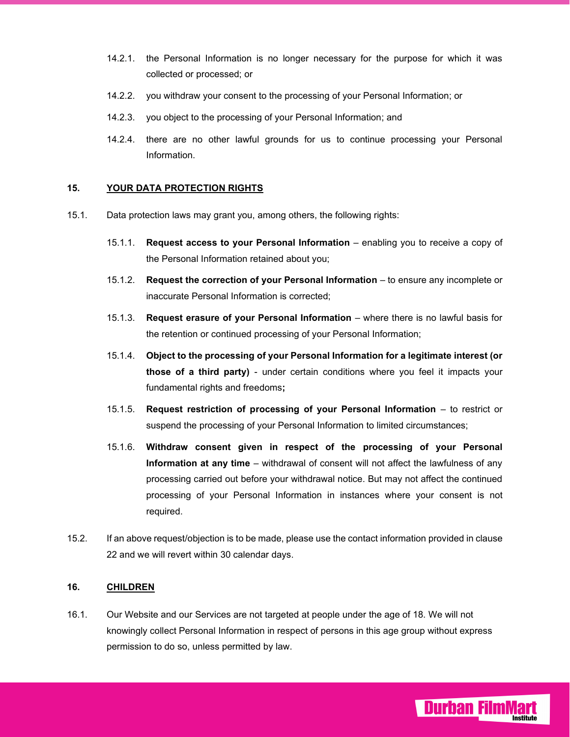- 14.2.1. the Personal Information is no longer necessary for the purpose for which it was collected or processed; or
- 14.2.2. you withdraw your consent to the processing of your Personal Information; or
- 14.2.3. you object to the processing of your Personal Information; and
- 14.2.4. there are no other lawful grounds for us to continue processing your Personal Information.

#### **15. YOUR DATA PROTECTION RIGHTS**

- 15.1. Data protection laws may grant you, among others, the following rights:
	- 15.1.1. **Request access to your Personal Information**  enabling you to receive a copy of the Personal Information retained about you;
	- 15.1.2. **Request the correction of your Personal Information** to ensure any incomplete or inaccurate Personal Information is corrected;
	- 15.1.3. **Request erasure of your Personal Information**  where there is no lawful basis for the retention or continued processing of your Personal Information;
	- 15.1.4. **Object to the processing of your Personal Information for a legitimate interest (or those of a third party)** - under certain conditions where you feel it impacts your fundamental rights and freedoms**;**
	- 15.1.5. **Request restriction of processing of your Personal Information**  to restrict or suspend the processing of your Personal Information to limited circumstances;
	- 15.1.6. **Withdraw consent given in respect of the processing of your Personal Information at any time** – withdrawal of consent will not affect the lawfulness of any processing carried out before your withdrawal notice. But may not affect the continued processing of your Personal Information in instances where your consent is not required.
- 15.2. If an above request/objection is to be made, please use the contact information provided in clause 22 and we will revert within 30 calendar days.

#### **16. CHILDREN**

16.1. Our Website and our Services are not targeted at people under the age of 18. We will not knowingly collect Personal Information in respect of persons in this age group without express permission to do so, unless permitted by law.

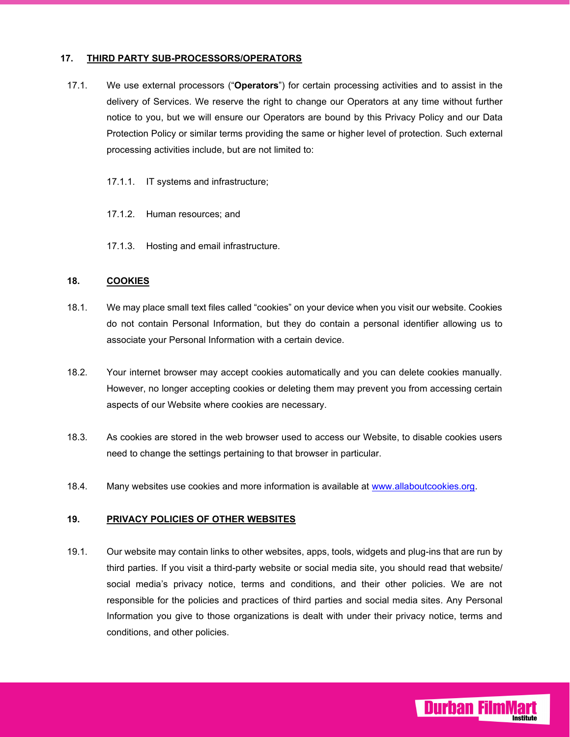### **17. THIRD PARTY SUB-PROCESSORS/OPERATORS**

- 17.1. We use external processors ("**Operators**") for certain processing activities and to assist in the delivery of Services. We reserve the right to change our Operators at any time without further notice to you, but we will ensure our Operators are bound by this Privacy Policy and our Data Protection Policy or similar terms providing the same or higher level of protection. Such external processing activities include, but are not limited to:
	- 17.1.1. IT systems and infrastructure;
	- 17.1.2. Human resources; and
	- 17.1.3. Hosting and email infrastructure.

#### **18. COOKIES**

- 18.1. We may place small text files called "cookies" on your device when you visit our website. Cookies do not contain Personal Information, but they do contain a personal identifier allowing us to associate your Personal Information with a certain device.
- 18.2. Your internet browser may accept cookies automatically and you can delete cookies manually. However, no longer accepting cookies or deleting them may prevent you from accessing certain aspects of our Website where cookies are necessary.
- 18.3. As cookies are stored in the web browser used to access our Website, to disable cookies users need to change the settings pertaining to that browser in particular.
- 18.4. Many websites use cookies and more information is available at www.allaboutcookies.org.

#### **19. PRIVACY POLICIES OF OTHER WEBSITES**

19.1. Our website may contain links to other websites, apps, tools, widgets and plug-ins that are run by third parties. If you visit a third-party website or social media site, you should read that website/ social media's privacy notice, terms and conditions, and their other policies. We are not responsible for the policies and practices of third parties and social media sites. Any Personal Information you give to those organizations is dealt with under their privacy notice, terms and conditions, and other policies.